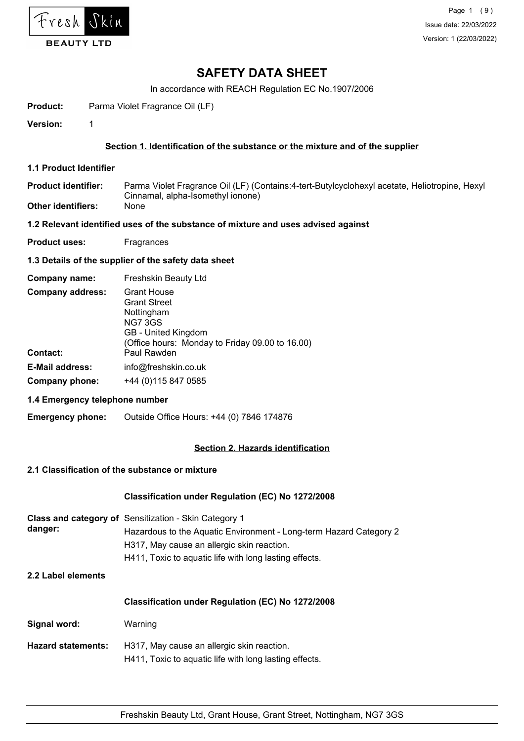

In accordance with REACH Regulation EC No.1907/2006

**Product:** Parma Violet Fragrance Oil (LF)

**Version:** 1

# **Section 1. Identification of the substance or the mixture and of the supplier**

- **1.1 Product Identifier**
- Parma Violet Fragrance Oil (LF) (Contains:4-tert-Butylcyclohexyl acetate, Heliotropine, Hexyl Cinnamal, alpha-Isomethyl ionone) **Product identifier:**
- **Other identifiers:** None

#### **1.2 Relevant identified uses of the substance of mixture and uses advised against**

**Product uses:** Fragrances

#### **1.3 Details of the supplier of the safety data sheet**

| Company name:           | Freshskin Beauty Ltd                                                                                                                                |
|-------------------------|-----------------------------------------------------------------------------------------------------------------------------------------------------|
| <b>Company address:</b> | <b>Grant House</b><br><b>Grant Street</b><br>Nottingham<br><b>NG7 3GS</b><br>GB - United Kingdom<br>(Office hours: Monday to Friday 09.00 to 16.00) |
| Contact:                | Paul Rawden                                                                                                                                         |
| <b>E-Mail address:</b>  | info@freshskin.co.uk                                                                                                                                |
| Company phone:          | +44 (0) 115 847 0585                                                                                                                                |

#### **1.4 Emergency telephone number**

**Emergency phone:** Outside Office Hours: +44 (0) 7846 174876

## **Section 2. Hazards identification**

#### **2.1 Classification of the substance or mixture**

#### **Classification under Regulation (EC) No 1272/2008**

| danger: | <b>Class and category of</b> Sensitization - Skin Category 1       |
|---------|--------------------------------------------------------------------|
|         | Hazardous to the Aquatic Environment - Long-term Hazard Category 2 |
|         | H317, May cause an allergic skin reaction.                         |
|         | H411, Toxic to aguatic life with long lasting effects.             |

## **2.2 Label elements**

|                           | Classification under Regulation (EC) No 1272/2008                                                    |  |  |  |  |
|---------------------------|------------------------------------------------------------------------------------------------------|--|--|--|--|
| Signal word:              | Warning                                                                                              |  |  |  |  |
| <b>Hazard statements:</b> | H317, May cause an allergic skin reaction.<br>H411, Toxic to aquatic life with long lasting effects. |  |  |  |  |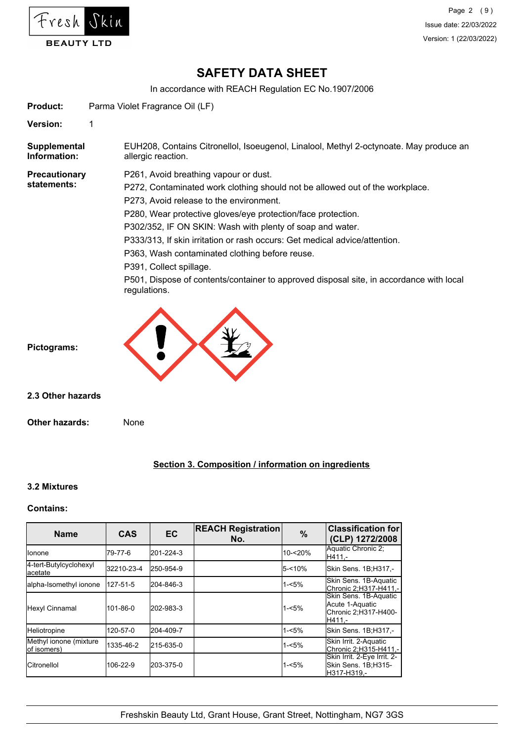

In accordance with REACH Regulation EC No.1907/2006

**Product:** Parma Violet Fragrance Oil (LF)

**Version:** 1

EUH208, Contains Citronellol, Isoeugenol, Linalool, Methyl 2-octynoate. May produce an allergic reaction. **Supplemental Information:**

**Precautionary statements:**

P261, Avoid breathing vapour or dust.

P272, Contaminated work clothing should not be allowed out of the workplace.

P273, Avoid release to the environment.

P280, Wear protective gloves/eye protection/face protection.

P302/352, IF ON SKIN: Wash with plenty of soap and water.

P333/313, If skin irritation or rash occurs: Get medical advice/attention.

P363, Wash contaminated clothing before reuse.

P391, Collect spillage.

P501, Dispose of contents/container to approved disposal site, in accordance with local regulations.



**2.3 Other hazards**

**Other hazards:** None

# **Section 3. Composition / information on ingredients**

#### **3.2 Mixtures**

#### **Contains:**

| <b>Name</b>                           | <b>CAS</b> | <b>EC</b> | <b>REACH Registration</b><br>No. | $\%$      | <b>Classification for</b><br>(CLP) 1272/2008                               |
|---------------------------------------|------------|-----------|----------------------------------|-----------|----------------------------------------------------------------------------|
| Ilonone                               | 79-77-6    | 201-224-3 |                                  | 10-<20%   | Aquatic Chronic 2;<br>H411.-                                               |
| 4-tert-Butylcyclohexyl<br>lacetate    | 32210-23-4 | 250-954-9 |                                  | $5 - 10%$ | Skin Sens. 1B;H317,-                                                       |
| alpha-Isomethyl ionone                | 127-51-5   | 204-846-3 |                                  | $1 - 5%$  | Skin Sens. 1B-Aquatic<br> Chronic 2:H317-H411.-                            |
| Hexyl Cinnamal                        | 101-86-0   | 202-983-3 |                                  | $1 - 5%$  | Skin Sens. 1B-Aquatic<br>Acute 1-Aquatic<br>Chronic 2;H317-H400-<br>H411.- |
| Heliotropine                          | 120-57-0   | 204-409-7 |                                  | $1 - 5%$  | Skin Sens. 1B;H317,-                                                       |
| Methyl ionone (mixture<br>of isomers) | 1335-46-2  | 215-635-0 |                                  | $1 - 5%$  | Skin Irrit. 2-Aquatic<br>Chronic 2, H315-H411,-                            |
| <b>ICitronellol</b>                   | 106-22-9   | 203-375-0 |                                  | $1 - 5%$  | Skin Irrit. 2-Eye Irrit. 2-<br>Skin Sens. 1B;H315-<br>lH317-H319.-         |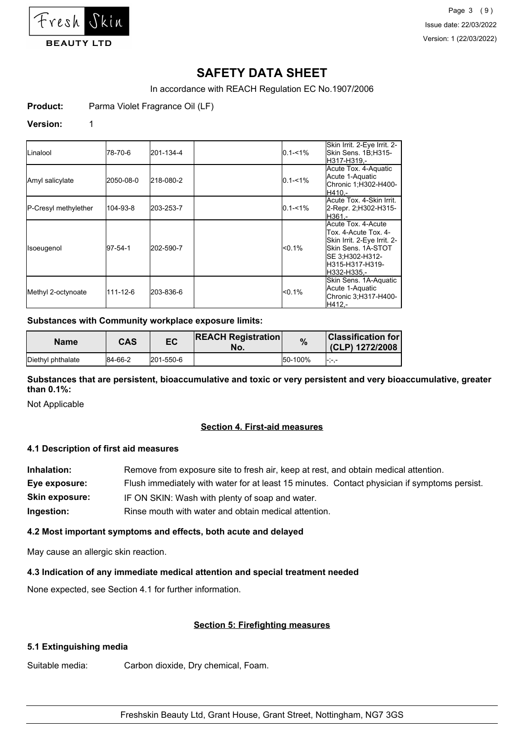

In accordance with REACH Regulation EC No.1907/2006

**Product:** Parma Violet Fragrance Oil (LF)

#### **Version:** 1

| ILinalool            | 78-70-6        | 201-134-4 | $0.1 - 1\%$ | Skin Irrit. 2-Eye Irrit. 2-<br>Skin Sens. 1B;H315-<br>H317-H319.-                                                                                     |
|----------------------|----------------|-----------|-------------|-------------------------------------------------------------------------------------------------------------------------------------------------------|
| Amyl salicylate      | 2050-08-0      | 218-080-2 | $0.1 - 1\%$ | Acute Tox. 4-Aquatic<br>Acute 1-Aquatic<br>Chronic 1;H302-H400-<br>H410.-                                                                             |
| P-Cresyl methylether | 104-93-8       | 203-253-7 | $0.1 - 1\%$ | Acute Tox, 4-Skin Irrit.<br>2-Repr. 2;H302-H315-<br>IH361.-                                                                                           |
| Isoeugenol           | 97-54-1        | 202-590-7 | $< 0.1\%$   | Acute Tox, 4-Acute<br>Tox. 4-Acute Tox. 4-<br>Skin Irrit. 2-Eye Irrit. 2-<br>Skin Sens, 1A-STOT<br>SE 3:H302-H312-<br>lH315-H317-H319-<br>H332-H335.- |
| Methyl 2-octynoate   | $111 - 12 - 6$ | 203-836-6 | $< 0.1\%$   | Skin Sens. 1A-Aquatic<br>Acute 1-Aquatic<br>Chronic 3; H317-H400-<br>H412.-                                                                           |

# **Substances with Community workplace exposure limits:**

| <b>Name</b>       | CAS     | EC        | <b>REACH Registration</b><br>No. | %       | $ $ Classification for<br>(CLP) 1272/2008 |
|-------------------|---------|-----------|----------------------------------|---------|-------------------------------------------|
| Diethyl phthalate | 84-66-2 | 201-550-6 |                                  | 50-100% | l-i-l-                                    |

**Substances that are persistent, bioaccumulative and toxic or very persistent and very bioaccumulative, greater than 0.1%:**

Not Applicable

#### **Section 4. First-aid measures**

## **4.1 Description of first aid measures**

| Inhalation:           | Remove from exposure site to fresh air, keep at rest, and obtain medical attention.          |  |  |  |  |
|-----------------------|----------------------------------------------------------------------------------------------|--|--|--|--|
| Eye exposure:         | Flush immediately with water for at least 15 minutes. Contact physician if symptoms persist. |  |  |  |  |
| <b>Skin exposure:</b> | IF ON SKIN: Wash with plenty of soap and water.                                              |  |  |  |  |
| Ingestion:            | Rinse mouth with water and obtain medical attention.                                         |  |  |  |  |

#### **4.2 Most important symptoms and effects, both acute and delayed**

May cause an allergic skin reaction.

## **4.3 Indication of any immediate medical attention and special treatment needed**

None expected, see Section 4.1 for further information.

#### **Section 5: Firefighting measures**

#### **5.1 Extinguishing media**

Suitable media: Carbon dioxide, Dry chemical, Foam.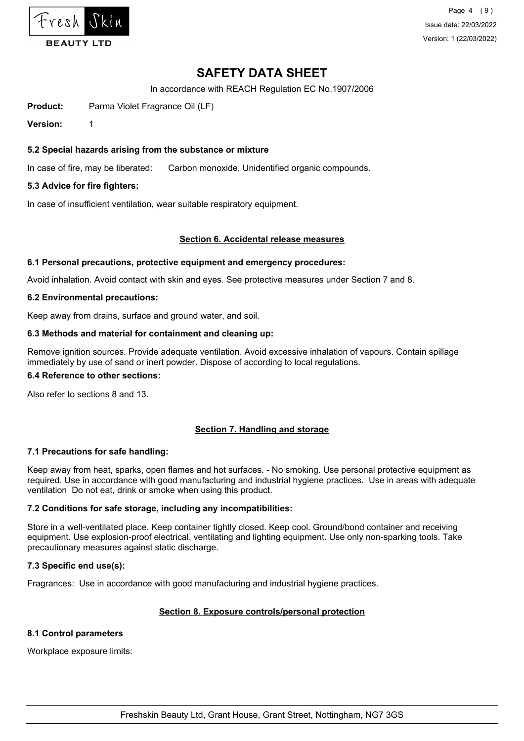

Page 4 (9) Issue date: 22/03/2022 Version: 1 (22/03/2022)

# **SAFETY DATA SHEET**

In accordance with REACH Regulation EC No.1907/2006

**Product:** Parma Violet Fragrance Oil (LF)

**Version:** 1

## **5.2 Special hazards arising from the substance or mixture**

In case of fire, may be liberated: Carbon monoxide, Unidentified organic compounds.

#### **5.3 Advice for fire fighters:**

In case of insufficient ventilation, wear suitable respiratory equipment.

#### **Section 6. Accidental release measures**

#### **6.1 Personal precautions, protective equipment and emergency procedures:**

Avoid inhalation. Avoid contact with skin and eyes. See protective measures under Section 7 and 8.

#### **6.2 Environmental precautions:**

Keep away from drains, surface and ground water, and soil.

#### **6.3 Methods and material for containment and cleaning up:**

Remove ignition sources. Provide adequate ventilation. Avoid excessive inhalation of vapours. Contain spillage immediately by use of sand or inert powder. Dispose of according to local regulations.

#### **6.4 Reference to other sections:**

Also refer to sections 8 and 13.

#### **Section 7. Handling and storage**

#### **7.1 Precautions for safe handling:**

Keep away from heat, sparks, open flames and hot surfaces. - No smoking. Use personal protective equipment as required. Use in accordance with good manufacturing and industrial hygiene practices. Use in areas with adequate ventilation Do not eat, drink or smoke when using this product.

#### **7.2 Conditions for safe storage, including any incompatibilities:**

Store in a well-ventilated place. Keep container tightly closed. Keep cool. Ground/bond container and receiving equipment. Use explosion-proof electrical, ventilating and lighting equipment. Use only non-sparking tools. Take precautionary measures against static discharge.

#### **7.3 Specific end use(s):**

Fragrances: Use in accordance with good manufacturing and industrial hygiene practices.

#### **Section 8. Exposure controls/personal protection**

#### **8.1 Control parameters**

Workplace exposure limits: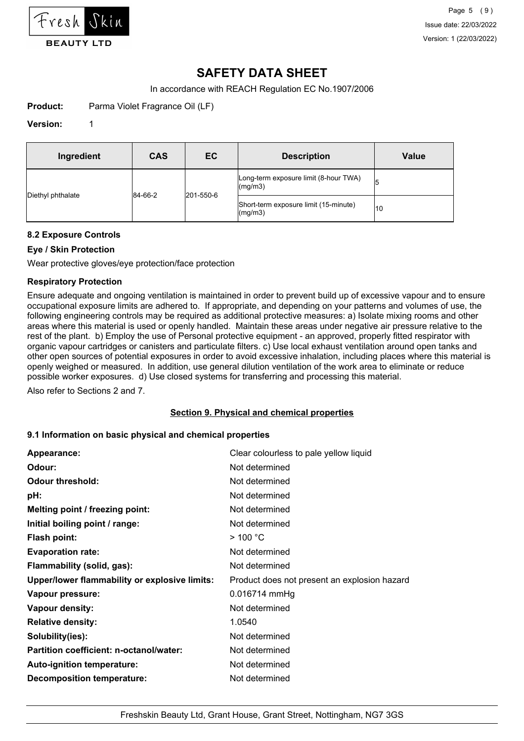

In accordance with REACH Regulation EC No.1907/2006

**Product:** Parma Violet Fragrance Oil (LF)

#### **Version:** 1

| Ingredient        | <b>CAS</b> | EC        | <b>Description</b>                                       | <b>Value</b> |
|-------------------|------------|-----------|----------------------------------------------------------|--------------|
|                   |            |           | Long-term exposure limit (8-hour TWA)<br>$\frac{mq}{m3}$ |              |
| Diethyl phthalate | 84-66-2    | 201-550-6 | Short-term exposure limit (15-minute)<br>$\frac{mq}{m3}$ | 10           |

#### **8.2 Exposure Controls**

# **Eye / Skin Protection**

Wear protective gloves/eye protection/face protection

#### **Respiratory Protection**

Ensure adequate and ongoing ventilation is maintained in order to prevent build up of excessive vapour and to ensure occupational exposure limits are adhered to. If appropriate, and depending on your patterns and volumes of use, the following engineering controls may be required as additional protective measures: a) Isolate mixing rooms and other areas where this material is used or openly handled. Maintain these areas under negative air pressure relative to the rest of the plant. b) Employ the use of Personal protective equipment - an approved, properly fitted respirator with organic vapour cartridges or canisters and particulate filters. c) Use local exhaust ventilation around open tanks and other open sources of potential exposures in order to avoid excessive inhalation, including places where this material is openly weighed or measured. In addition, use general dilution ventilation of the work area to eliminate or reduce possible worker exposures. d) Use closed systems for transferring and processing this material.

Also refer to Sections 2 and 7.

#### **Section 9. Physical and chemical properties**

#### **9.1 Information on basic physical and chemical properties**

| Appearance:                                   | Clear colourless to pale yellow liquid       |
|-----------------------------------------------|----------------------------------------------|
| Odour:                                        | Not determined                               |
| <b>Odour threshold:</b>                       | Not determined                               |
| pH:                                           | Not determined                               |
| Melting point / freezing point:               | Not determined                               |
| Initial boiling point / range:                | Not determined                               |
| <b>Flash point:</b>                           | $>$ 100 °C                                   |
| <b>Evaporation rate:</b>                      | Not determined                               |
| Flammability (solid, gas):                    | Not determined                               |
| Upper/lower flammability or explosive limits: | Product does not present an explosion hazard |
| Vapour pressure:                              | 0.016714 mmHg                                |
| Vapour density:                               | Not determined                               |
| <b>Relative density:</b>                      | 1.0540                                       |
| Solubility(ies):                              | Not determined                               |
| Partition coefficient: n-octanol/water:       | Not determined                               |
| Auto-ignition temperature:                    | Not determined                               |
| <b>Decomposition temperature:</b>             | Not determined                               |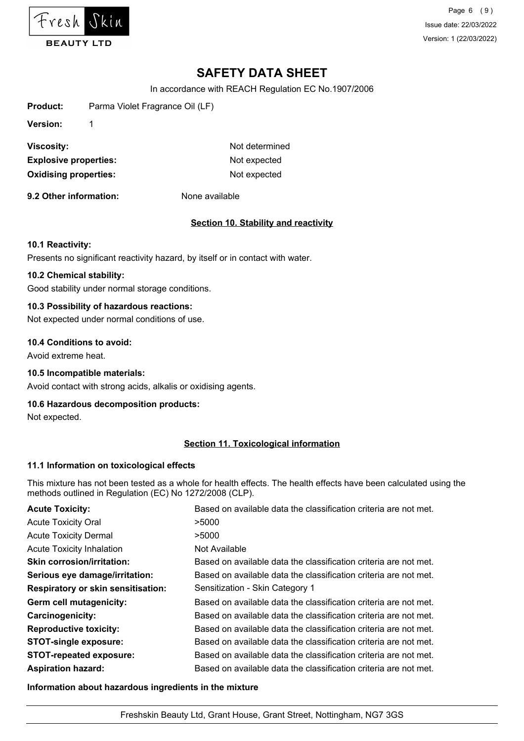

Page 6 (9) Issue date: 22/03/2022 Version: 1 (22/03/2022)

# **SAFETY DATA SHEET**

In accordance with REACH Regulation EC No.1907/2006

| Product:                     | Parma Violet Fragrance Oil (LF) |                |
|------------------------------|---------------------------------|----------------|
| <b>Version:</b>              |                                 |                |
| Viscosity:                   |                                 | Not determined |
| <b>Explosive properties:</b> |                                 | Not expected   |
| <b>Oxidising properties:</b> |                                 | Not expected   |
|                              |                                 |                |

**9.2 Other information:** None available

#### **Section 10. Stability and reactivity**

#### **10.1 Reactivity:**

Presents no significant reactivity hazard, by itself or in contact with water.

# **10.2 Chemical stability:**

Good stability under normal storage conditions.

# **10.3 Possibility of hazardous reactions:**

Not expected under normal conditions of use.

#### **10.4 Conditions to avoid:**

Avoid extreme heat.

#### **10.5 Incompatible materials:**

Avoid contact with strong acids, alkalis or oxidising agents.

#### **10.6 Hazardous decomposition products:**

Not expected.

#### **Section 11. Toxicological information**

#### **11.1 Information on toxicological effects**

This mixture has not been tested as a whole for health effects. The health effects have been calculated using the methods outlined in Regulation (EC) No 1272/2008 (CLP).

| <b>Acute Toxicity:</b>                    | Based on available data the classification criteria are not met. |
|-------------------------------------------|------------------------------------------------------------------|
| <b>Acute Toxicity Oral</b>                | >5000                                                            |
| <b>Acute Toxicity Dermal</b>              | >5000                                                            |
| <b>Acute Toxicity Inhalation</b>          | Not Available                                                    |
| <b>Skin corrosion/irritation:</b>         | Based on available data the classification criteria are not met. |
| Serious eye damage/irritation:            | Based on available data the classification criteria are not met. |
| <b>Respiratory or skin sensitisation:</b> | Sensitization - Skin Category 1                                  |
| Germ cell mutagenicity:                   | Based on available data the classification criteria are not met. |
| <b>Carcinogenicity:</b>                   | Based on available data the classification criteria are not met. |
| <b>Reproductive toxicity:</b>             | Based on available data the classification criteria are not met. |
| <b>STOT-single exposure:</b>              | Based on available data the classification criteria are not met. |
| <b>STOT-repeated exposure:</b>            | Based on available data the classification criteria are not met. |
| <b>Aspiration hazard:</b>                 | Based on available data the classification criteria are not met. |

**Information about hazardous ingredients in the mixture**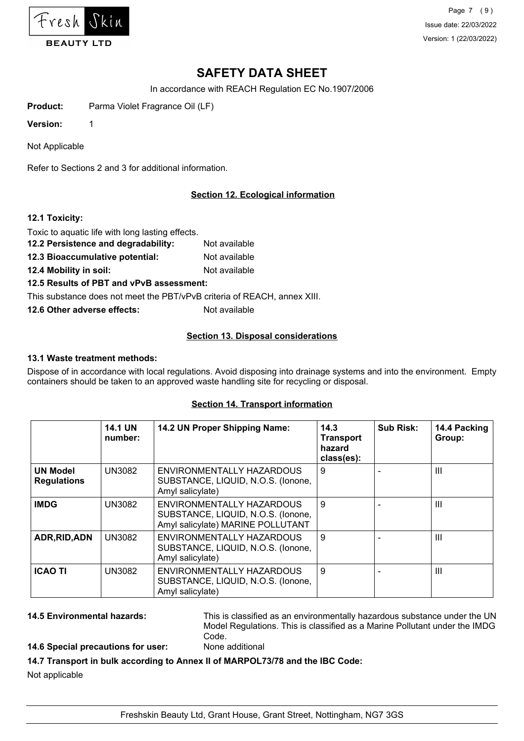

Page 7 (9) Issue date: 22/03/2022 Version: 1 (22/03/2022)

# **SAFETY DATA SHEET**

In accordance with REACH Regulation EC No.1907/2006

**Product:** Parma Violet Fragrance Oil (LF)

**Version:** 1

Not Applicable

Refer to Sections 2 and 3 for additional information.

# **Section 12. Ecological information**

#### **12.1 Toxicity:**

Toxic to aquatic life with long lasting effects.

- **12.2 Persistence and degradability:** Not available
- **12.3 Bioaccumulative potential:** Not available
- **12.4 Mobility in soil:** Not available

# **12.5 Results of PBT and vPvB assessment:**

This substance does not meet the PBT/vPvB criteria of REACH, annex XIII.

**12.6 Other adverse effects:** Not available

# **Section 13. Disposal considerations**

#### **13.1 Waste treatment methods:**

Dispose of in accordance with local regulations. Avoid disposing into drainage systems and into the environment. Empty containers should be taken to an approved waste handling site for recycling or disposal.

#### **Section 14. Transport information**

|                                       | <b>14.1 UN</b><br>number: | 14.2 UN Proper Shipping Name:                                                                        | 14.3<br><b>Transport</b><br>hazard<br>class(es): | <b>Sub Risk:</b> | 14.4 Packing<br>Group: |
|---------------------------------------|---------------------------|------------------------------------------------------------------------------------------------------|--------------------------------------------------|------------------|------------------------|
| <b>UN Model</b><br><b>Regulations</b> | <b>UN3082</b>             | ENVIRONMENTALLY HAZARDOUS<br>SUBSTANCE, LIQUID, N.O.S. (Ionone,<br>Amyl salicylate)                  | 9                                                |                  | $\mathbf{III}$         |
| <b>IMDG</b>                           | <b>UN3082</b>             | ENVIRONMENTALLY HAZARDOUS<br>SUBSTANCE, LIQUID, N.O.S. (Ionone,<br>Amyl salicylate) MARINE POLLUTANT | 9                                                |                  | $\mathbf{III}$         |
| ADR, RID, ADN                         | <b>UN3082</b>             | ENVIRONMENTALLY HAZARDOUS<br>SUBSTANCE, LIQUID, N.O.S. (Ionone,<br>Amyl salicylate)                  | 9                                                |                  | $\mathbf{III}$         |
| <b>ICAO TI</b>                        | <b>UN3082</b>             | ENVIRONMENTALLY HAZARDOUS<br>SUBSTANCE, LIQUID, N.O.S. (Ionone,<br>Amyl salicylate)                  | 9                                                |                  | $\mathbf{III}$         |

**14.5 Environmental hazards:** This is classified as an environmentally hazardous substance under the UN Model Regulations. This is classified as a Marine Pollutant under the IMDG Code.

# **14.6 Special precautions for user:** None additional

## **14.7 Transport in bulk according to Annex II of MARPOL73/78 and the IBC Code:**

Not applicable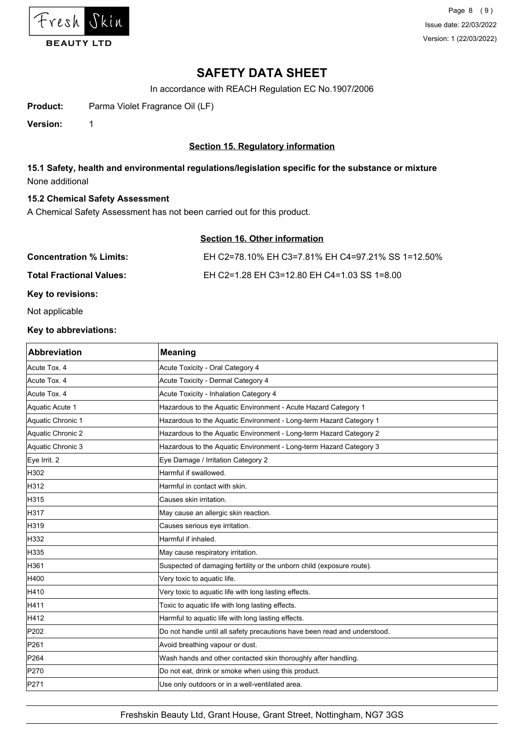

In accordance with REACH Regulation EC No.1907/2006

**Product:** Parma Violet Fragrance Oil (LF)

**Version:** 1

# **Section 15. Regulatory information**

# **15.1 Safety, health and environmental regulations/legislation specific for the substance or mixture** None additional

#### **15.2 Chemical Safety Assessment**

A Chemical Safety Assessment has not been carried out for this product.

# **Section 16. Other information**

| <b>Concentration % Limits:</b>  | EH C2=78.10% EH C3=7.81% EH C4=97.21% SS 1=12.50% |
|---------------------------------|---------------------------------------------------|
| <b>Total Fractional Values:</b> | EH C2=1.28 EH C3=12.80 EH C4=1.03 SS 1=8.00       |
| Key to revisions:               |                                                   |

Not applicable

#### **Key to abbreviations:**

| <b>Abbreviation</b> | <b>Meaning</b>                                                            |
|---------------------|---------------------------------------------------------------------------|
| Acute Tox. 4        | Acute Toxicity - Oral Category 4                                          |
| Acute Tox. 4        | Acute Toxicity - Dermal Category 4                                        |
| Acute Tox. 4        | Acute Toxicity - Inhalation Category 4                                    |
| Aquatic Acute 1     | Hazardous to the Aquatic Environment - Acute Hazard Category 1            |
| Aquatic Chronic 1   | Hazardous to the Aquatic Environment - Long-term Hazard Category 1        |
| Aquatic Chronic 2   | Hazardous to the Aquatic Environment - Long-term Hazard Category 2        |
| Aquatic Chronic 3   | Hazardous to the Aquatic Environment - Long-term Hazard Category 3        |
| Eye Irrit. 2        | Eye Damage / Irritation Category 2                                        |
| H302                | Harmful if swallowed.                                                     |
| H312                | Harmful in contact with skin.                                             |
| H315                | Causes skin irritation.                                                   |
| H317                | May cause an allergic skin reaction.                                      |
| H319                | Causes serious eye irritation.                                            |
| H332                | Harmful if inhaled.                                                       |
| H335                | May cause respiratory irritation.                                         |
| H361                | Suspected of damaging fertility or the unborn child (exposure route).     |
| H400                | Very toxic to aquatic life.                                               |
| H410                | Very toxic to aquatic life with long lasting effects.                     |
| H411                | Toxic to aquatic life with long lasting effects.                          |
| H412                | Harmful to aquatic life with long lasting effects.                        |
| P202                | Do not handle until all safety precautions have been read and understood. |
| P261                | Avoid breathing vapour or dust.                                           |
| P264                | Wash hands and other contacted skin thoroughly after handling.            |
| P270                | Do not eat, drink or smoke when using this product.                       |
| P271                | Use only outdoors or in a well-ventilated area.                           |